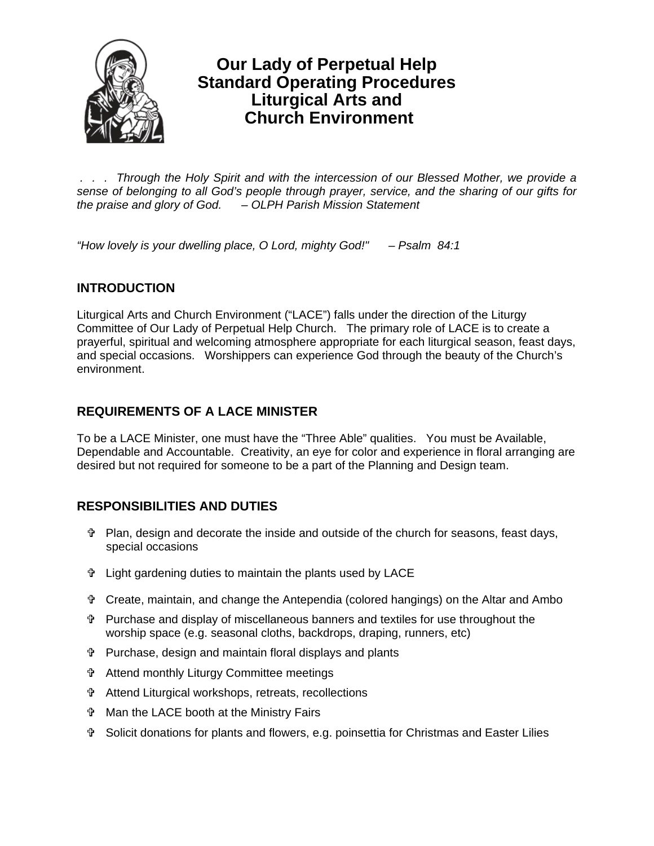

# **Our Lady of Perpetual Help Standard Operating Procedures Liturgical Arts and Church Environment**

 *. . . Through the Holy Spirit and with the intercession of our Blessed Mother, we provide a sense of belonging to all God's people through prayer, service, and the sharing of our gifts for the praise and glory of God. – OLPH Parish Mission Statement* 

*"How lovely is your dwelling place, O Lord, mighty God!" – Psalm 84:1* 

## **INTRODUCTION**

Liturgical Arts and Church Environment ("LACE") falls under the direction of the Liturgy Committee of Our Lady of Perpetual Help Church. The primary role of LACE is to create a prayerful, spiritual and welcoming atmosphere appropriate for each liturgical season, feast days, and special occasions. Worshippers can experience God through the beauty of the Church's environment.

## **REQUIREMENTS OF A LACE MINISTER**

To be a LACE Minister, one must have the "Three Able" qualities. You must be Available, Dependable and Accountable. Creativity, an eye for color and experience in floral arranging are desired but not required for someone to be a part of the Planning and Design team.

## **RESPONSIBILITIES AND DUTIES**

- Plan, design and decorate the inside and outside of the church for seasons, feast days, special occasions
- Light gardening duties to maintain the plants used by LACE
- Create, maintain, and change the Antependia (colored hangings) on the Altar and Ambo
- Purchase and display of miscellaneous banners and textiles for use throughout the worship space (e.g. seasonal cloths, backdrops, draping, runners, etc)
- Purchase, design and maintain floral displays and plants
- Attend monthly Liturgy Committee meetings
- Attend Liturgical workshops, retreats, recollections
- Man the LACE booth at the Ministry Fairs
- Solicit donations for plants and flowers, e.g. poinsettia for Christmas and Easter Lilies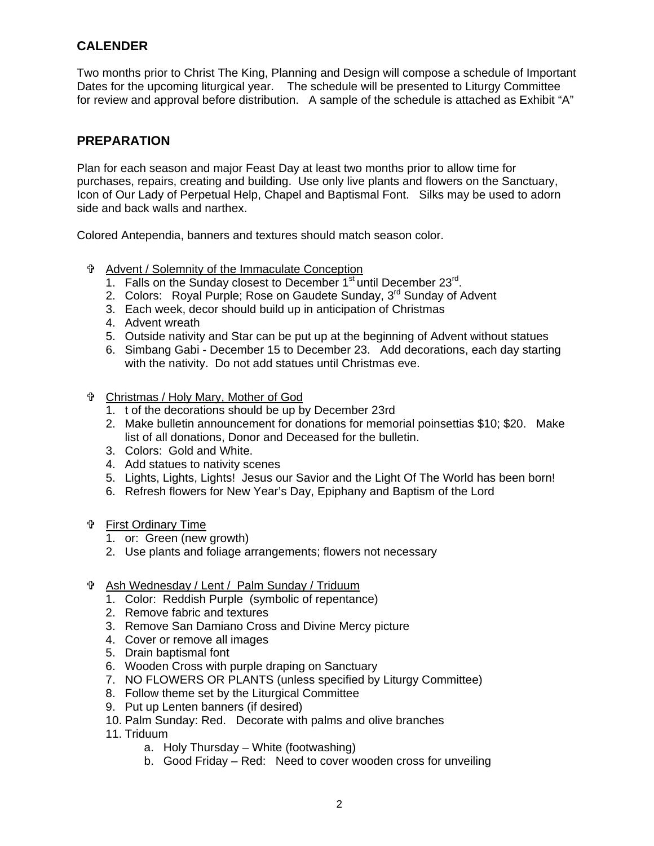### **CALENDER**

Two months prior to Christ The King, Planning and Design will compose a schedule of Important Dates for the upcoming liturgical year. The schedule will be presented to Liturgy Committee for review and approval before distribution. A sample of the schedule is attached as Exhibit "A"

#### **PREPARATION**

Plan for each season and major Feast Day at least two months prior to allow time for purchases, repairs, creating and building. Use only live plants and flowers on the Sanctuary, Icon of Our Lady of Perpetual Help, Chapel and Baptismal Font. Silks may be used to adorn side and back walls and narthex.

Colored Antependia, banners and textures should match season color.

- Advent / Solemnity of the Immaculate Conception
	- 1. Falls on the Sunday closest to December  $1<sup>st</sup>$  until December 23 $<sup>rd</sup>$ .</sup>
	- 2. Colors: Royal Purple; Rose on Gaudete Sunday, 3rd Sunday of Advent
	- 3. Each week, decor should build up in anticipation of Christmas
	- 4. Advent wreath
	- 5. Outside nativity and Star can be put up at the beginning of Advent without statues
	- 6. Simbang Gabi December 15 to December 23. Add decorations, each day starting with the nativity. Do not add statues until Christmas eve.
- Christmas / Holy Mary, Mother of God
	- 1. t of the decorations should be up by December 23rd
	- 2. Make bulletin announcement for donations for memorial poinsettias \$10; \$20. Make list of all donations, Donor and Deceased for the bulletin.
	- 3. Colors: Gold and White.
	- 4. Add statues to nativity scenes
	- 5. Lights, Lights, Lights! Jesus our Savior and the Light Of The World has been born!
	- 6. Refresh flowers for New Year's Day, Epiphany and Baptism of the Lord
- First Ordinary Time
	- 1. or: Green (new growth)
	- 2. Use plants and foliage arrangements; flowers not necessary
- Ash Wednesday / Lent / Palm Sunday / Triduum
	- 1. Color: Reddish Purple (symbolic of repentance)
	- 2. Remove fabric and textures
	- 3. Remove San Damiano Cross and Divine Mercy picture
	- 4. Cover or remove all images
	- 5. Drain baptismal font
	- 6. Wooden Cross with purple draping on Sanctuary
	- 7. NO FLOWERS OR PLANTS (unless specified by Liturgy Committee)
	- 8. Follow theme set by the Liturgical Committee
	- 9. Put up Lenten banners (if desired)
	- 10. Palm Sunday: Red. Decorate with palms and olive branches
	- 11. Triduum
		- a. Holy Thursday White (footwashing)
		- b. Good Friday Red: Need to cover wooden cross for unveiling